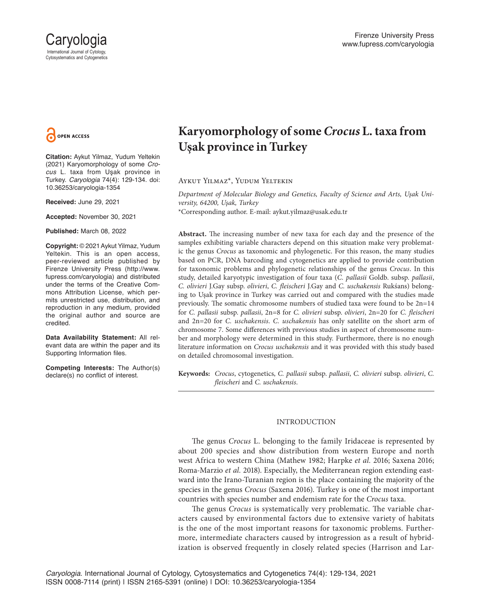

**Citation:** Aykut Yilmaz, Yudum Yeltekin (2021) Karyomorphology of some *Crocus* L. taxa from Uşak province in Turkey. *Caryologia* 74(4): 129-134. doi: 10.36253/caryologia-1354

**Received:** June 29, 2021

**Accepted:** November 30, 2021

**Published:** March 08, 2022

**Copyright:** © 2021 Aykut Yilmaz, Yudum Yeltekin. This is an open access, peer-reviewed article published by Firenze University Press (http://www. fupress.com/caryologia) and distributed under the terms of the Creative Commons Attribution License, which permits unrestricted use, distribution, and reproduction in any medium, provided the original author and source are credited.

**Data Availability Statement:** All relevant data are within the paper and its Supporting Information files.

**Competing Interests:** The Author(s) declare(s) no conflict of interest.

# **Karyomorphology of some** *Crocus* **L. taxa from Uşak province in Turkey**

Aykut Yilmaz\*, Yudum Yeltekin

*Department of Molecular Biology and Genetics, Faculty of Science and Arts, Uşak University, 64200, Uşak, Turkey* \*Corresponding author. E-mail: aykut.yilmaz@usak.edu.tr

**Abstract.** The increasing number of new taxa for each day and the presence of the samples exhibiting variable characters depend on this situation make very problematic the genus *Crocus* as taxonomic and phylogenetic. For this reason, the many studies based on PCR, DNA barcoding and cytogenetics are applied to provide contribution for taxonomic problems and phylogenetic relationships of the genus *Crocus*. In this study, detailed karyotypic investigation of four taxa (*C. pallasii* Goldb. subsp. *pallasii*, *C. olivieri* J.Gay subsp. *olivieri*, *C. fleischeri* J.Gay and *C. uschakensis* Rukśans) belonging to Uşak province in Turkey was carried out and compared with the studies made previously. The somatic chromosome numbers of studied taxa were found to be 2n=14 for *C. pallasii* subsp. *pallasii*, 2n=8 for *C. olivieri* subsp. *olivieri*, 2n=20 for *C. fleischeri* and 2n=20 for *C. uschakensis*. *C. uschakensis* has only satellite on the short arm of chromosome 7. Some differences with previous studies in aspect of chromosome number and morphology were determined in this study. Furthermore, there is no enough literature information on *Crocus uschakensis* and it was provided with this study based on detailed chromosomal investigation.

**Keywords:** *Crocus*, cytogenetics, *C. pallasii* subsp. *pallasii*, *C. olivieri* subsp. *olivieri*, *C. fleischeri* and *C. uschakensis*.

## INTRODUCTION

The genus *Crocus* L. belonging to the family Iridaceae is represented by about 200 species and show distribution from western Europe and north west Africa to western China (Mathew 1982; Harpke *et al.* 2016; Saxena 2016; Roma-Marzio *et al.* 2018). Especially, the Mediterranean region extending eastward into the Irano-Turanian region is the place containing the majority of the species in the genus *Crocus* (Saxena 2016). Turkey is one of the most important countries with species number and endemism rate for the *Crocus* taxa.

The genus *Crocus* is systematically very problematic. The variable characters caused by environmental factors due to extensive variety of habitats is the one of the most important reasons for taxonomic problems. Furthermore, intermediate characters caused by introgression as a result of hybridization is observed frequently in closely related species (Harrison and Lar-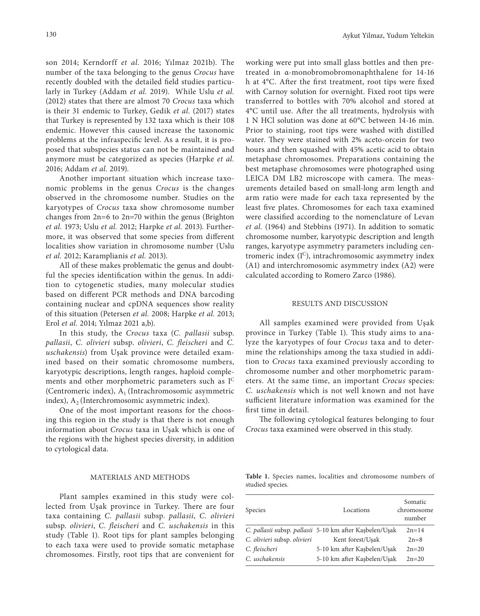son 2014; Kerndorff *et al.* 2016; Yılmaz 2021b). The number of the taxa belonging to the genus *Crocus* have recently doubled with the detailed field studies particularly in Turkey (Addam *et al.* 2019). While Uslu *et al.* (2012) states that there are almost 70 *Crocus* taxa which is their 31 endemic to Turkey, Gedik et al. (2017) states that Turkey is represented by 132 taxa which is their 108 endemic. However this caused increase the taxonomic problems at the infraspecific level. As a result, it is proposed that subspecies status can not be maintained and anymore must be categorized as species (Harpke *et al.* 2016; Addam *et al.* 2019).

Another important situation which increase taxonomic problems in the genus *Crocus* is the changes observed in the chromosome number. Studies on the karyotypes of *Crocus* taxa show chromosome number changes from 2n=6 to 2n=70 within the genus (Brighton *et al.* 1973; Uslu *et al.* 2012; Harpke *et al.* 2013). Furthermore, it was observed that some species from different localities show variation in chromosome number (Uslu *et al.* 2012; Karamplianis *et al.* 2013).

All of these makes problematic the genus and doubtful the species identification within the genus. In addition to cytogenetic studies, many molecular studies based on different PCR methods and DNA barcoding containing nuclear and cpDNA sequences show reality of this situation (Petersen *et al.* 2008; Harpke *et al.* 2013; Erol *et al.* 2014; Yılmaz 2021 a,b).

In this study, the *Crocus* taxa (*C. pallasii* subsp. *pallasii*, *C. olivieri* subsp. *olivieri*, *C. fleischeri* and *C. uschakensis*) from Uşak province were detailed examined based on their somatic chromosome numbers, karyotypic descriptions, length ranges, haploid complements and other morphometric parameters such as I<sup>C</sup> (Centromeric index),  $A_1$  (Intrachromosomic asymmetric index),  $A_2$  (Interchromosomic asymmetric index).

One of the most important reasons for the choosing this region in the study is that there is not enough information about *Crocus* taxa in Uşak which is one of the regions with the highest species diversity, in addition to cytological data.

#### MATERIALS AND METHODS

Plant samples examined in this study were collected from Uşak province in Turkey. There are four taxa containing *C. pallasii* subsp. *pallasii*, *C. olivieri* subsp. *olivieri*, *C. fleischeri* and *C. uschakensis* in this study (Table 1). Root tips for plant samples belonging to each taxa were used to provide somatic metaphase chromosomes. Firstly, root tips that are convenient for

working were put into small glass bottles and then pretreated in α-monobromobromonaphthalene for 14-16 h at 4°C. After the first treatment, root tips were fixed with Carnoy solution for overnight. Fixed root tips were transferred to bottles with 70% alcohol and stored at 4°C until use. After the all treatments, hydrolysis with 1 N HCl solution was done at 60°C between 14-16 min. Prior to staining, root tips were washed with distilled water. They were stained with 2% aceto-orcein for two hours and then squashed with 45% acetic acid to obtain metaphase chromosomes. Preparations containing the best metaphase chromosomes were photographed using LEICA DM LB2 microscope with camera. The measurements detailed based on small-long arm length and arm ratio were made for each taxa represented by the least five plates. Chromosomes for each taxa examined were classified according to the nomenclature of Levan *et al.* (1964) and Stebbins (1971). In addition to somatic chromosome number, karyotypic description and length

ranges, karyotype asymmetry parameters including centromeric index (IC), intrachromosomic asymmetry index (A1) and interchromosomic asymmetry index (A2) were calculated according to Romero Zarco (1986).

#### RESULTS AND DISCUSSION

All samples examined were provided from Uşak province in Turkey (Table 1). This study aims to analyze the karyotypes of four *Crocus* taxa and to determine the relationships among the taxa studied in addition to *Crocus* taxa examined previously according to chromosome number and other morphometric parameters. At the same time, an important *Crocus* species: *C. uschakensis* which is not well known and not have sufficient literature information was examined for the first time in detail.

The following cytological features belonging to four *Crocus* taxa examined were observed in this study.

**Table 1.** Species names, localities and chromosome numbers of studied species.

| Species                     | Locations                                               | Somatic<br>chromosome<br>number |  |
|-----------------------------|---------------------------------------------------------|---------------------------------|--|
|                             | C. pallasii subsp. pallasii 5-10 km after Kaşbelen/Uşak | $2n = 14$                       |  |
| C. olivieri subsp. olivieri | Kent forest/Usak                                        | $2n=8$                          |  |
| C. fleischeri               | 5-10 km after Kaşbelen/Uşak                             | $2n = 20$                       |  |
| C. uschakensis              | 5-10 km after Kaşbelen/Uşak                             | $2n = 20$                       |  |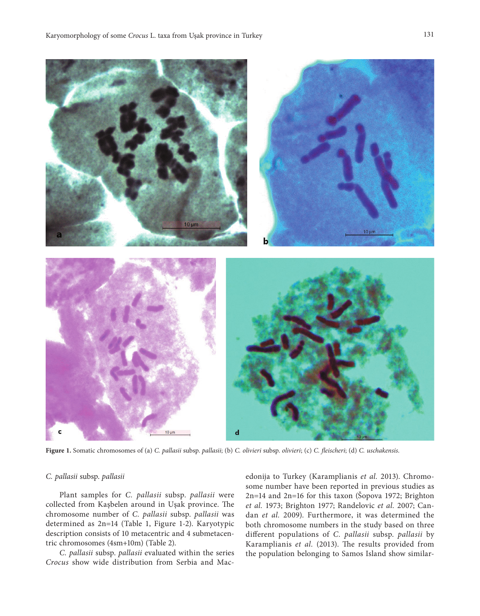

**Figure 1.** Somatic chromosomes of (a) *C. pallasii* subsp. *pallasii*; (b) *C. olivieri* subsp. *olivieri*; (c) *C. fleischeri*; (d) *C. uschakensis*.

#### *C. pallasii* subsp. *pallasii*

Plant samples for *C. pallasii* subsp. *pallasii* were collected from Kaşbelen around in Uşak province. The chromosome number of *C. pallasii* subsp. *pallasii* was determined as 2n=14 (Table 1, Figure 1-2). Karyotypic description consists of 10 metacentric and 4 submetacentric chromosomes (4sm+10m) (Table 2).

*C. pallasii* subsp. *pallasii* evaluated within the series *Crocus* show wide distribution from Serbia and Macedonija to Turkey (Karamplianis *et al.* 2013). Chromosome number have been reported in previous studies as 2n=14 and 2n=16 for this taxon (Šopova 1972; Brighton *et al.* 1973; Brighton 1977; Randelovic *et al.* 2007; Candan *et al.* 2009). Furthermore, it was determined the both chromosome numbers in the study based on three different populations of *C. pallasii* subsp. *pallasii* by Karamplianis *et al.* (2013). The results provided from the population belonging to Samos Island show similar-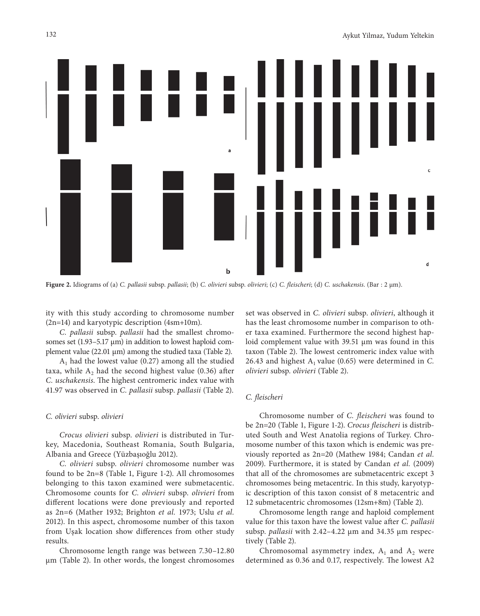

**Figure 2.** Idiograms of (a) *C. pallasii* subsp. *pallasii*; (b) *C. olivieri* subsp. *olivieri*; (c) *C. fleischeri*; (d) *C. uschakensis*. (Bar : 2 µm).

ity with this study according to chromosome number (2n=14) and karyotypic description (4sm+10m).

*C. pallasii* subsp. *pallasii* had the smallest chromosomes set (1.93–5.17 μm) in addition to lowest haploid complement value (22.01 µm) among the studied taxa (Table 2).

 $A<sub>1</sub>$  had the lowest value (0.27) among all the studied taxa, while  $A_2$  had the second highest value (0.36) after *C. uschakensis*. The highest centromeric index value with 41.97 was observed in *C. pallasii* subsp. *pallasii* (Table 2).

## *C. olivieri* subsp. *olivieri*

*Crocus olivieri* subsp. *olivieri* is distributed in Turkey, Macedonia, Southeast Romania, South Bulgaria, Albania and Greece (Yüzbaşıoğlu 2012).

*C. olivieri* subsp. *olivieri* chromosome number was found to be 2n=8 (Table 1, Figure 1-2). All chromosomes belonging to this taxon examined were submetacentic. Chromosome counts for *C. olivieri* subsp. *olivieri* from different locations were done previously and reported as 2n=6 (Mather 1932; Brighton *et al.* 1973; Uslu *et al.* 2012). In this aspect, chromosome number of this taxon from Uşak location show differences from other study results.

Chromosome length range was between 7.30–12.80 µm (Table 2). In other words, the longest chromosomes set was observed in *C. olivieri* subsp. *olivieri*, although it has the least chromosome number in comparison to other taxa examined. Furthermore the second highest haploid complement value with 39.51 µm was found in this taxon (Table 2). The lowest centromeric index value with 26.43 and highest  $A_1$  value (0.65) were determined in *C*. *olivieri* subsp. *olivieri* (Table 2).

#### *C. fleischeri*

Chromosome number of *C. fleischeri* was found to be 2n=20 (Table 1, Figure 1-2). *Crocus fleischeri* is distributed South and West Anatolia regions of Turkey. Chromosome number of this taxon which is endemic was previously reported as 2n=20 (Mathew 1984; Candan *et al.* 2009). Furthermore, it is stated by Candan *et al.* (2009) that all of the chromosomes are submetacentric except 3 chromosomes being metacentric. In this study, karyotypic description of this taxon consist of 8 metacentric and 12 submetacentric chromosomes (12sm+8m) (Table 2).

Chromosome length range and haploid complement value for this taxon have the lowest value after *C. pallasii* subsp. *pallasii* with 2.42–4.22 µm and 34.35 µm respectively (Table 2).

Chromosomal asymmetry index,  $A_1$  and  $A_2$  were determined as 0.36 and 0.17, respectively. The lowest A2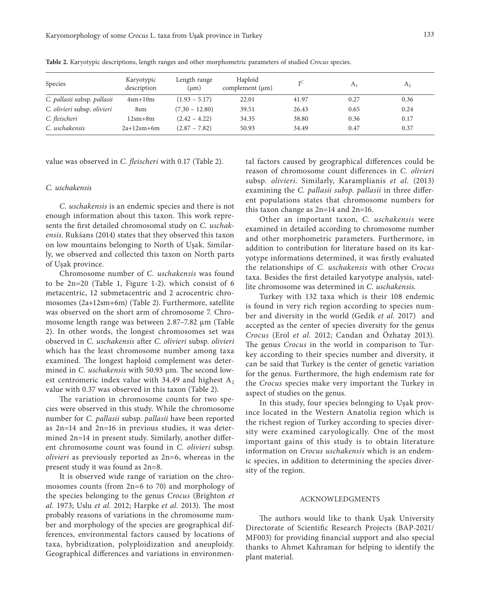| Species                     | Karyotypic<br>description | Length range<br>$(\mu m)$ | Haploid<br>complement $(\mu m)$ | тC    | A <sub>1</sub> | A <sub>2</sub> |
|-----------------------------|---------------------------|---------------------------|---------------------------------|-------|----------------|----------------|
| C. pallasii subsp. pallasii | $4\text{sm}+10\text{m}$   | $(1.93 - 5.17)$           | 22.01                           | 41.97 | 0.27           | 0.36           |
| C. olivieri subsp. olivieri | 8sm                       | $(7.30 - 12.80)$          | 39.51                           | 26.43 | 0.65           | 0.24           |
| C. fleischeri               | $12\rm sm+8m$             | $(2.42 - 4.22)$           | 34.35                           | 38.80 | 0.36           | 0.17           |
| C. uschakensis              | $2a+12sm+6m$              | $(2.87 - 7.82)$           | 50.93                           | 34.49 | 0.47           | 0.37           |

**Table 2.** Karyotypic descriptions, length ranges and other morphometric parameters of studied *Crocus* species.

value was observed in *C. fleischeri* with 0.17 (Table 2).

## *C. uschakensis*

*C. uschakensis* is an endemic species and there is not enough information about this taxon. This work represents the first detailed chromosomal study on *C. uschakensis*. Rukśans (2014) states that they observed this taxon on low mountains belonging to North of Uşak. Similarly, we observed and collected this taxon on North parts of Uşak province.

Chromosome number of *C. uschakensis* was found to be 2n=20 (Table 1, Figure 1-2). which consist of 6 metacentric, 12 submetacentric and 2 acrocentric chromosomes (2a+12sm+6m) (Table 2). Furthermore, satellite was observed on the short arm of chromosome 7. Chromosome length range was between 2.87–7.82 µm (Table 2). In other words, the longest chromosomes set was observed in *C. uschakensis* after *C. olivieri* subsp. *olivieri* which has the least chromosome number among taxa examined. The longest haploid complement was determined in *C. uschakensis* with 50.93 µm. The second lowest centromeric index value with 34.49 and highest  $A_2$ value with 0.37 was observed in this taxon (Table 2).

The variation in chromosome counts for two species were observed in this study. While the chromosome number for *C. pallasii* subsp. *pallasii* have been reported as 2n=14 and 2n=16 in previous studies, it was determined 2n=14 in present study. Similarly, another different chromosome count was found in *C. olivieri* subsp. *olivieri* as previously reported as 2n=6, whereas in the present study it was found as 2n=8.

It is observed wide range of variation on the chromosomes counts (from 2n=6 to 70) and morphology of the species belonging to the genus *Crocus* (Brighton *et al.* 1973; Uslu *et al.* 2012; Harpke *et al.* 2013). The most probably reasons of variations in the chromosome number and morphology of the species are geographical differences, environmental factors caused by locations of taxa, hybridization, polyploidization and aneuploidy. Geographical differences and variations in environmental factors caused by geographical differences could be reason of chromosome count differences in *C. olivieri* subsp. *olivieri*. Similarly, Karamplianis *et al.* (2013) examining the *C. pallasii subsp. pallasii* in three different populations states that chromosome numbers for this taxon change as 2n=14 and 2n=16.

Other an important taxon, *C. uschakensis* were examined in detailed according to chromosome number and other morphometric parameters. Furthermore, in addition to contribution for literature based on its karyotype informations determined, it was firstly evaluated the relationships of *C. uschakensis* with other *Crocus*  taxa. Besides the first detailed karyotype analysis, satellite chromosome was determined in *C. uschakensis*.

Turkey with 132 taxa which is their 108 endemic is found in very rich region according to species number and diversity in the world (Gedik *et al.* 2017) and accepted as the center of species diversity for the genus *Crocus* (Erol *et al.* 2012; Candan and Özhatay 2013). The genus *Crocus* in the world in comparison to Turkey according to their species number and diversity, it can be said that Turkey is the center of genetic variation for the genus. Furthermore, the high endemism rate for the *Crocus* species make very important the Turkey in aspect of studies on the genus.

In this study, four species belonging to Uşak province located in the Western Anatolia region which is the richest region of Turkey according to species diversity were examined caryologically. One of the most important gains of this study is to obtain literature information on *Crocus uschakensis* which is an endemic species, in addition to determining the species diversity of the region.

#### ACKNOWLEDGMENTS

The authors would like to thank Uşak University Directorate of Scientific Research Projects (BAP-2021/ MF003) for providing financial support and also special thanks to Ahmet Kahraman for helping to identify the plant material.